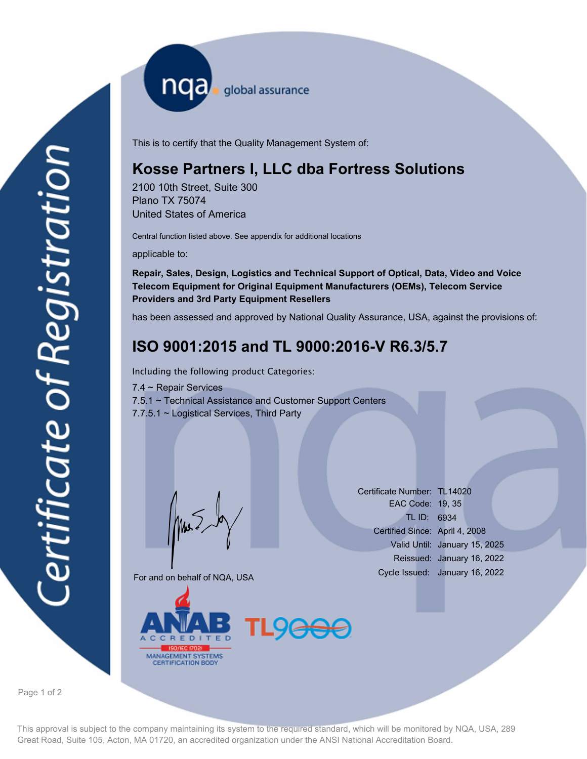nqa <sub>global assurance</sub>

This is to certify that the Quality Management System of:

## **Kosse Partners I, LLC dba Fortress Solutions**

2100 10th Street, Suite 300 Plano TX 75074 United States of America

Central function listed above. See appendix for additional locations

applicable to:

**Repair, Sales, Design, Logistics and Technical Support of Optical, Data, Video and Voice Telecom Equipment for Original Equipment Manufacturers (OEMs), Telecom Service Providers and 3rd Party Equipment Resellers**

has been assessed and approved by National Quality Assurance, USA, against the provisions of:

# **ISO 9001:2015 and TL 9000:2016-V R6.3/5.7**

Including the following product Categories:

7.4 ~ Repair Services 7.5.1 ~ Technical Assistance and Customer Support Centers 7.7.5.1 ~ Logistical Services, Third Party

Mus

For and on behalf of NQA, USA



Certificate Number: TL14020 EAC Code: 19, 35 TL ID: 6934 Certified Since: April 4, 2008 Valid Until: January 15, 2025 Reissued: January 16, 2022 Cycle Issued: January 16, 2022

Page 1 of 2

This approval is subject to the company maintaining its system to the required standard, which will be monitored by NQA, USA, 289 Great Road, Suite 105, Acton, MA 01720, an accredited organization under the ANSI National Accreditation Board.